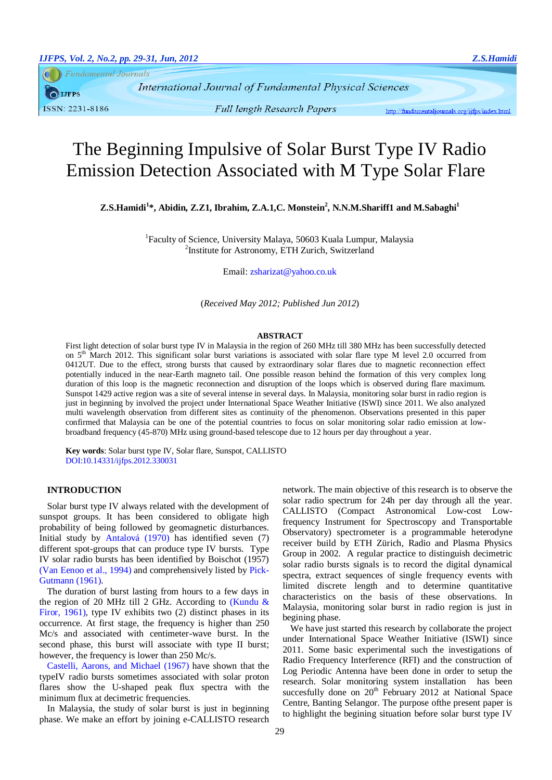**Fundamental Journals** 

**IJFPS** ISSN: 2231-8186

International Journal of Fundamental Physical Sciences

**Full length Research Papers** 

http://fundamentaljournals.org/ijfps/index.html

# The Beginning Impulsive of Solar Burst Type IV Radio Emission Detection Associated with M Type Solar Flare

**Z.S.Hamidi<sup>1</sup> \*, Abidin, Z.Z1, Ibrahim, Z.A.1,C. Monstein<sup>2</sup> , N.N.M.Shariff1 and M.Sabaghi<sup>1</sup>**

<sup>1</sup>Faculty of Science, University Malaya, 50603 Kuala Lumpur, Malaysia <sup>2</sup>Institute for Astronomy, ETH Zurich, Switzerland

Email[: zsharizat@yahoo.co.uk](mailto:zetysharizat@siswa.um.edu.my)

(*Received May 2012; Published Jun 2012*)

#### **ABSTRACT**

First light detection of solar burst type IV in Malaysia in the region of 260 MHz till 380 MHz has been successfully detected on  $5<sup>th</sup>$  March 2012. This significant solar burst variations is associated with solar flare type M level 2.0 occurred from 0412UT. Due to the effect, strong bursts that caused by extraordinary solar flares due to magnetic reconnection effect potentially induced in the near-Earth magneto tail. One possible reason behind the formation of this very complex long duration of this loop is the magnetic reconnection and disruption of the loops which is observed during flare maximum. Sunspot 1429 active region was a site of several intense in several days. In Malaysia, monitoring solar burst in radio region is just in beginning by involved the project under International Space Weather Initiative (ISWI) since 2011. We also analyzed multi wavelength observation from different sites as continuity of the phenomenon. Observations presented in this paper confirmed that Malaysia can be one of the potential countries to focus on solar monitoring solar radio emission at lowbroadband frequency (45-870) MHz using ground-based telescope due to 12 hours per day throughout a year.

**Key words**: Solar burst type IV, Solar flare, Sunspot, CALLISTO DOI:10.14331/ijfps.2012.330031

## **INTRODUCTION**

Solar burst type IV always related with the development of sunspot groups. It has been considered to obligate high probability of being followed by geomagnetic disturbances. Initial study by [Antalová \(1970\)](#page-2-0) has identified seven (7) different spot-groups that can produce type IV bursts. Type IV solar radio bursts has been identified by Boischot (1957) [\(Van Eenoo et al., 1994\)](#page-2-1) and comprehensively listed by [Pick-](#page-2-2)[Gutmann \(1961\)](#page-2-2).

The duration of burst lasting from hours to a few days in the region of 20 MHz till 2 GHz. According to [\(Kundu &](#page-2-3)  [Firor, 1961\)](#page-2-3), type IV exhibits two (2) distinct phases in its occurrence. At first stage, the frequency is higher than 250 Mc/s and associated with centimeter-wave burst. In the second phase, this burst will associate with type II burst; however, the frequency is lower than 250 Mc/s.

[Castelli, Aarons, and Michael \(1967\)](#page-2-4) have shown that the typeIV radio bursts sometimes associated with solar proton flares show the U-shaped peak flux spectra with the minimum flux at decimetric frequencies.

In Malaysia, the study of solar burst is just in beginning phase. We make an effort by joining e-CALLISTO research network. The main objective of this research is to observe the solar radio spectrum for 24h per day through all the year. CALLISTO (Compact Astronomical Low-cost Lowfrequency Instrument for Spectroscopy and Transportable Observatory) spectrometer is a programmable heterodyne receiver build by ETH Zürich, Radio and Plasma Physics Group in 2002. A regular practice to distinguish decimetric solar radio bursts signals is to record the digital dynamical spectra, extract sequences of single frequency events with limited discrete length and to determine quantitative characteristics on the basis of these observations. In Malaysia, monitoring solar burst in radio region is just in begining phase.

We have just started this research by collaborate the project under International Space Weather Initiative (ISWI) since 2011. Some basic experimental such the investigations of Radio Frequency Interference (RFI) and the construction of Log Periodic Antenna have been done in order to setup the research. Solar monitoring system installation has been succesfully done on  $20<sup>th</sup>$  February 2012 at National Space Centre, Banting Selangor. The purpose ofthe present paper is to highlight the begining situation before solar burst type IV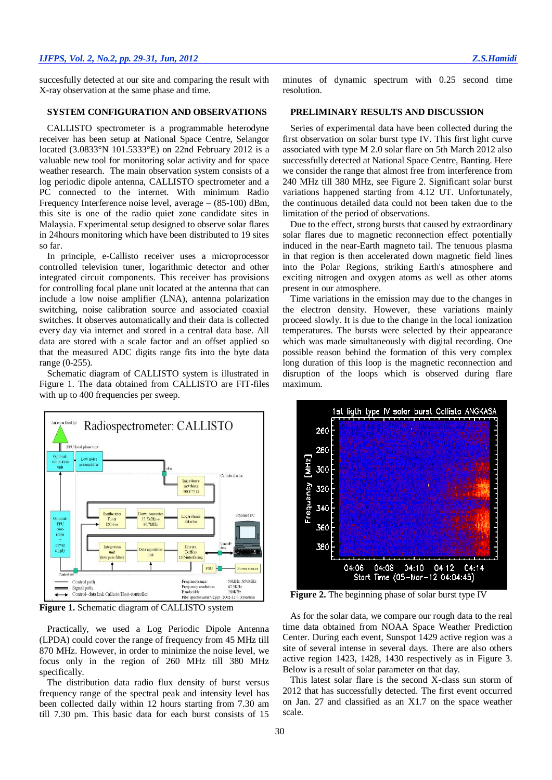succesfully detected at our site and comparing the result with X-ray observation at the same phase and time.

# **SYSTEM CONFIGURATION AND OBSERVATIONS**

CALLISTO spectrometer is a programmable heterodyne receiver has been setup at National Space Centre, Selangor located (3.0833°N 101.5333°E) on 22nd February 2012 is a valuable new tool for monitoring solar activity and for space weather research. The main observation system consists of a log periodic dipole antenna, CALLISTO spectrometer and a PC connected to the internet. With minimum Radio Frequency Interference noise level, average – (85-100) dBm, this site is one of the radio quiet zone candidate sites in Malaysia. Experimental setup designed to observe solar flares in 24hours monitoring which have been distributed to 19 sites so far.

In principle, e-Callisto receiver uses a microprocessor controlled television tuner, logarithmic detector and other integrated circuit components. This receiver has provisions for controlling focal plane unit located at the antenna that can include a low noise amplifier (LNA), antenna polarization switching, noise calibration source and associated coaxial switches. It observes automatically and their data is collected every day via internet and stored in a central data base. All data are stored with a scale factor and an offset applied so that the measured ADC digits range fits into the byte data range (0-255).

Schematic diagram of CALLISTO system is illustrated in Figure 1. The data obtained from CALLISTO are FIT-files with up to 400 frequencies per sweep.



**Figure 1.** Schematic diagram of CALLISTO system

Practically, we used a Log Periodic Dipole Antenna (LPDA) could cover the range of frequency from 45 MHz till 870 MHz. However, in order to minimize the noise level, we focus only in the region of 260 MHz till 380 MHz specifically.

The distribution data radio flux density of burst versus frequency range of the spectral peak and intensity level has been collected daily within 12 hours starting from 7.30 am till 7.30 pm. This basic data for each burst consists of 15

minutes of dynamic spectrum with 0.25 second time resolution.

# **PRELIMINARY RESULTS AND DISCUSSION**

Series of experimental data have been collected during the first observation on solar burst type IV. This first light curve associated with type M 2.0 solar flare on 5th March 2012 also successfully detected at National Space Centre, Banting. Here we consider the range that almost free from interference from 240 MHz till 380 MHz, see Figure 2. Significant solar burst variations happened starting from 4.12 UT. Unfortunately, the continuous detailed data could not been taken due to the limitation of the period of observations.

Due to the effect, strong bursts that caused by extraordinary solar flares due to magnetic reconnection effect potentially induced in the near-Earth magneto tail. The tenuous plasma in that region is then accelerated down magnetic field lines into the Polar Regions, striking Earth's atmosphere and exciting nitrogen and oxygen atoms as well as other atoms present in our atmosphere.

Time variations in the emission may due to the changes in the electron density. However, these variations mainly proceed slowly. It is due to the change in the local ionization temperatures. The bursts were selected by their appearance which was made simultaneously with digital recording. One possible reason behind the formation of this very complex long duration of this loop is the magnetic reconnection and disruption of the loops which is observed during flare maximum.



**Figure 2.** The beginning phase of solar burst type IV

As for the solar data, we compare our rough data to the real time data obtained from NOAA Space Weather Prediction Center. During each event, Sunspot 1429 active region was a site of several intense in several days. There are also others active region 1423, 1428, 1430 respectively as in Figure 3. Below is a result of solar parameter on that day.

This latest solar flare is the second X-class sun storm of 2012 that has successfully detected. The first event occurred on Jan. 27 and classified as an X1.7 on the space weather scale.